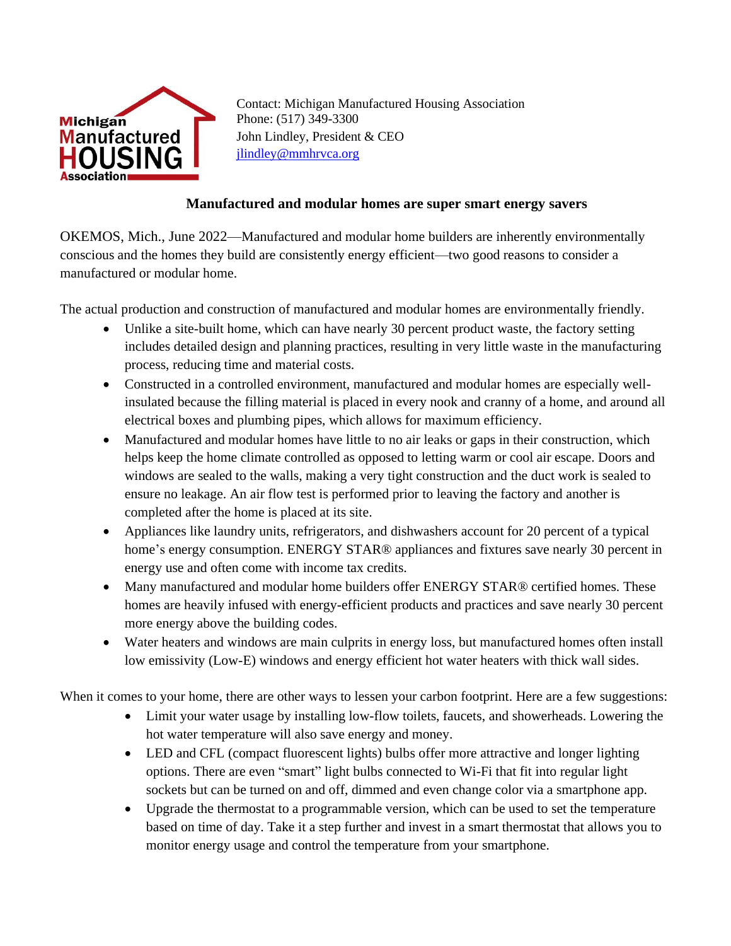

Contact: Michigan Manufactured Housing Association Phone: (517) 349-3300 John Lindley, President & CEO [jlindley@mmhrvca.org](mailto:jlindley@mmhrvca.org)

## **Manufactured and modular homes are super smart energy savers**

OKEMOS, Mich., June 2022—Manufactured and modular home builders are inherently environmentally conscious and the homes they build are consistently energy efficient—two good reasons to consider a manufactured or modular home.

The actual production and construction of manufactured and modular homes are environmentally friendly.

- Unlike a site-built home, which can have nearly 30 percent product waste, the factory setting includes detailed design and planning practices, resulting in very little waste in the manufacturing process, reducing time and material costs.
- Constructed in a controlled environment, manufactured and modular homes are especially wellinsulated because the filling material is placed in every nook and cranny of a home, and around all electrical boxes and plumbing pipes, which allows for maximum efficiency.
- Manufactured and modular homes have little to no air leaks or gaps in their construction, which helps keep the home climate controlled as opposed to letting warm or cool air escape. Doors and windows are sealed to the walls, making a very tight construction and the duct work is sealed to ensure no leakage. An air flow test is performed prior to leaving the factory and another is completed after the home is placed at its site.
- Appliances like laundry units, refrigerators, and dishwashers account for 20 percent of a typical home's energy consumption. ENERGY STAR<sup>®</sup> appliances and fixtures save nearly 30 percent in energy use and often come with income tax credits.
- Many manufactured and modular home builders offer ENERGY STAR® certified homes. These homes are heavily infused with energy-efficient products and practices and save nearly 30 percent more energy above the building codes.
- Water heaters and windows are main culprits in energy loss, but manufactured homes often install low emissivity (Low-E) windows and energy efficient hot water heaters with thick wall sides.

When it comes to your home, there are other ways to lessen your carbon footprint. Here are a few suggestions:

- Limit your water usage by installing low-flow toilets, faucets, and showerheads. Lowering the hot water temperature will also save energy and money.
- LED and CFL (compact fluorescent lights) bulbs offer more attractive and longer lighting options. There are even "smart" light bulbs connected to Wi-Fi that fit into regular light sockets but can be turned on and off, dimmed and even change color via a smartphone app.
- Upgrade the thermostat to a programmable version, which can be used to set the temperature based on time of day. Take it a step further and invest in a smart thermostat that allows you to monitor energy usage and control the temperature from your smartphone.